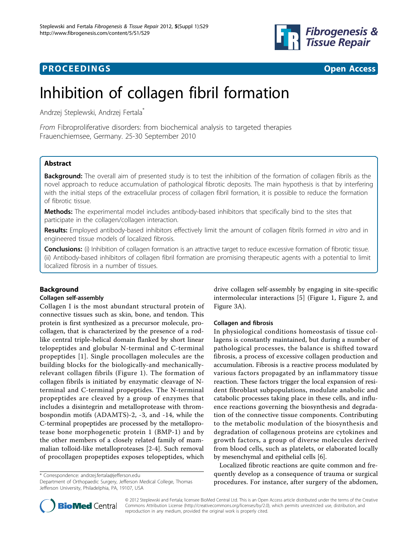

## **PROCEEDINGS CONSUMING S** Open Access **CONSUMING S**



# Inhibition of collagen fibril formation

Andrzej Steplewski, Andrzej Fertala\*

From Fibroproliferative disorders: from biochemical analysis to targeted therapies Frauenchiemsee, Germany. 25-30 September 2010

## Abstract

Background: The overall aim of presented study is to test the inhibition of the formation of collagen fibrils as the novel approach to reduce accumulation of pathological fibrotic deposits. The main hypothesis is that by interfering with the initial steps of the extracellular process of collagen fibril formation, it is possible to reduce the formation of fibrotic tissue.

Methods: The experimental model includes antibody-based inhibitors that specifically bind to the sites that participate in the collagen/collagen interaction.

Results: Employed antibody-based inhibitors effectively limit the amount of collagen fibrils formed in vitro and in engineered tissue models of localized fibrosis.

Conclusions: (i) Inhibition of collagen formation is an attractive target to reduce excessive formation of fibrotic tissue. (ii) Antibody-based inhibitors of collagen fibril formation are promising therapeutic agents with a potential to limit localized fibrosis in a number of tissues.

## Background

## Collagen self-assembly

Collagen I is the most abundant structural protein of connective tissues such as skin, bone, and tendon. This protein is first synthesized as a precursor molecule, procollagen, that is characterized by the presence of a rodlike central triple-helical domain flanked by short linear telopeptides and globular N-terminal and C-terminal propeptides [[1\]](#page-4-0). Single procollagen molecules are the building blocks for the biologically-and mechanicallyrelevant collagen fibrils (Figure [1\)](#page-1-0). The formation of collagen fibrils is initiated by enzymatic cleavage of Nterminal and C-terminal propeptides. The N-terminal propeptides are cleaved by a group of enzymes that includes a disintegrin and metalloprotease with thrombospondin motifs (ADAMTS)-2, -3, and -14, while the C-terminal propeptides are processed by the metalloprotease bone morphogenetic protein 1 (BMP-1) and by the other members of a closely related family of mammalian tolloid-like metalloproteases [[2-4](#page-4-0)]. Such removal of procollagen propeptides exposes telopeptides, which

\* Correspondence: [andrzej.fertala@jefferson.edu](mailto:andrzej.fertala@jefferson.edu)

Department of Orthopaedic Surgery, Jefferson Medical College, Thomas Jefferson University, Philadelphia, PA, 19107, USA

drive collagen self-assembly by engaging in site-specific intermolecular interactions [[5\]](#page-4-0) (Figure [1,](#page-1-0) Figure [2,](#page-1-0) and Figure [3A](#page-2-0)).

## Collagen and fibrosis

In physiological conditions homeostasis of tissue collagens is constantly maintained, but during a number of pathological processes, the balance is shifted toward fibrosis, a process of excessive collagen production and accumulation. Fibrosis is a reactive process modulated by various factors propagated by an inflammatory tissue reaction. These factors trigger the local expansion of resident fibroblast subpopulations, modulate anabolic and catabolic processes taking place in these cells, and influence reactions governing the biosynthesis and degradation of the connective tissue components. Contributing to the metabolic modulation of the biosynthesis and degradation of collagenous proteins are cytokines and growth factors, a group of diverse molecules derived from blood cells, such as platelets, or elaborated locally by mesenchymal and epithelial cells [[6](#page-4-0)].

Localized fibrotic reactions are quite common and frequently develop as a consequence of trauma or surgical procedures. For instance, after surgery of the abdomen,



© 2012 Steplewski and Fertala; licensee BioMed Central Ltd. This is an Open Access article distributed under the terms of the Creative Commons Attribution License [\(http://creativecommons.org/licenses/by/2.0](http://creativecommons.org/licenses/by/2.0)), which permits unrestricted use, distribution, and reproduction in any medium, provided the original work is properly cited.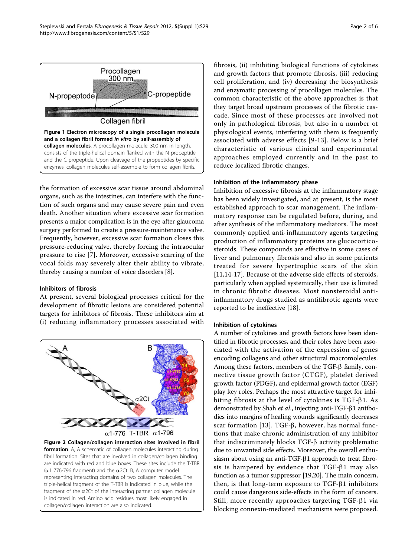<span id="page-1-0"></span>

the formation of excessive scar tissue around abdominal organs, such as the intestines, can interfere with the function of such organs and may cause severe pain and even death. Another situation where excessive scar formation presents a major complication is in the eye after glaucoma surgery performed to create a pressure-maintenance valve. Frequently, however, excessive scar formation closes this pressure-reducing valve, thereby forcing the intraocular pressure to rise [[7](#page-4-0)]. Moreover, excessive scarring of the vocal folds may severely alter their ability to vibrate, thereby causing a number of voice disorders [\[8](#page-4-0)].

## Inhibitors of fibrosis

At present, several biological processes critical for the development of fibrotic lesions are considered potential targets for inhibitors of fibrosis. These inhibitors aim at (i) reducing inflammatory processes associated with



fibrosis, (ii) inhibiting biological functions of cytokines and growth factors that promote fibrosis, (iii) reducing cell proliferation, and (iv) decreasing the biosynthesis and enzymatic processing of procollagen molecules. The common characteristic of the above approaches is that they target broad upstream processes of the fibrotic cascade. Since most of these processes are involved not only in pathological fibrosis, but also in a number of physiological events, interfering with them is frequently associated with adverse effects [[9](#page-4-0)-[13](#page-4-0)]. Below is a brief characteristic of various clinical and experimental approaches employed currently and in the past to reduce localized fibrotic changes.

#### Inhibition of the inflammatory phase

Inhibition of excessive fibrosis at the inflammatory stage has been widely investigated, and at present, is the most established approach to scar management. The inflammatory response can be regulated before, during, and after synthesis of the inflammatory mediators. The most commonly applied anti-inflammatory agents targeting production of inflammatory proteins are glucocorticosteroids. These compounds are effective in some cases of liver and pulmonary fibrosis and also in some patients treated for severe hypertrophic scars of the skin [[11,14-17](#page-4-0)]. Because of the adverse side effects of steroids, particularly when applied systemically, their use is limited in chronic fibrotic diseases. Most nonsteroidal antiinflammatory drugs studied as antifibrotic agents were reported to be ineffective [\[18](#page-4-0)].

## Inhibition of cytokines

A number of cytokines and growth factors have been identified in fibrotic processes, and their roles have been associated with the activation of the expression of genes encoding collagens and other structural macromolecules. Among these factors, members of the TGF- $\beta$  family, connective tissue growth factor (CTGF), platelet derived growth factor (PDGF), and epidermal growth factor (EGF) play key roles. Perhaps the most attractive target for inhibiting fibrosis at the level of cytokines is  $TGF- $\beta$ 1. As$ demonstrated by Shah et al., injecting anti-TGF- $\beta$ 1 antibodies into margins of healing wounds significantly decreases scar formation [[13\]](#page-4-0). TGF- $\beta$ , however, has normal functions that make chronic administration of any inhibitor that indiscriminately blocks  $TGF- $\beta$  activity problematic$ due to unwanted side effects. Moreover, the overall enthusiasm about using an anti-TGF- $\beta$ 1 approach to treat fibrosis is hampered by evidence that  $TGF- $\beta$ 1$  may also function as a tumor suppressor [\[19,20](#page-4-0)]. The main concern, then, is that long-term exposure to TGF- $\beta$ 1 inhibitors could cause dangerous side-effects in the form of cancers. Still, more recently approaches targeting TGF- $\beta$ 1 via blocking connexin-mediated mechanisms were proposed.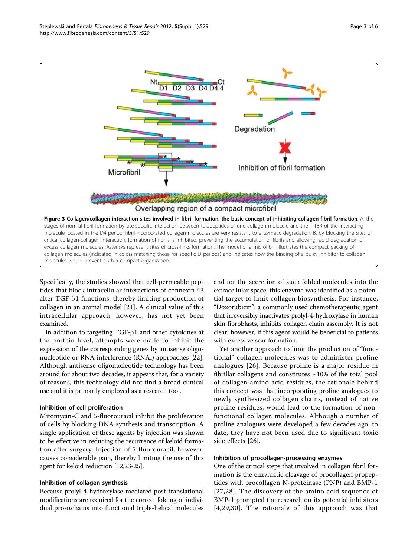<span id="page-2-0"></span>

Specifically, the studies showed that cell-permeable peptides that block intracellular interactions of connexin 43 alter TGF- $\beta$ 1 functions, thereby limiting production of collagen in an animal model [[21\]](#page-4-0). A clinical value of this intracellular approach, however, has not yet been examined.

In addition to targeting TGF- $\beta$ 1 and other cytokines at the protein level, attempts were made to inhibit the expression of the corresponding genes by antisense oligonucleotide or RNA interference (RNAi) approaches [\[22](#page-4-0)]. Although antisense oligonucleotide technology has been around for about two decades, it appears that, for a variety of reasons, this technology did not find a broad clinical use and it is primarily employed as a research tool.

## Inhibition of cell proliferation

Mitomycin-C and 5-fluorouracil inhibit the proliferation of cells by blocking DNA synthesis and transcription. A single application of these agents by injection was shown to be effective in reducing the recurrence of keloid formation after surgery. Injection of 5-fluorouracil, however, causes considerable pain, thereby limiting the use of this agent for keloid reduction [[12,23-25\]](#page-4-0).

#### Inhibition of collagen synthesis

Because prolyl-4-hydroxylase-mediated post-translational modifications are required for the correct folding of individual pro- $\alpha$ chains into functional triple-helical molecules and for the secretion of such folded molecules into the extracellular space, this enzyme was identified as a potential target to limit collagen biosynthesis. For instance, "Doxorubicin", a commonly used chemotherapeutic agent that irreversibly inactivates prolyl-4-hydroxylase in human skin fibroblasts, inhibits collagen chain assembly. It is not clear, however, if this agent would be beneficial to patients with excessive scar formation.

Yet another approach to limit the production of "functional" collagen molecules was to administer proline analogues [[26](#page-4-0)]. Because proline is a major residue in fibrillar collagens and constitutes  $~10\%$  of the total pool of collagen amino acid residues, the rationale behind this concept was that incorporating proline analogues to newly synthesized collagen chains, instead of native proline residues, would lead to the formation of nonfunctional collagen molecules. Although a number of proline analogues were developed a few decades ago, to date, they have not been used due to significant toxic side effects [[26\]](#page-4-0).

#### Inhibition of procollagen-processing enzymes

One of the critical steps that involved in collagen fibril formation is the enzymatic cleavage of procollagen propeptides with procollagen N-proteinase (PNP) and BMP-1 [[27,28\]](#page-4-0). The discovery of the amino acid sequence of BMP-1 prompted the research on its potential inhibitors [[4,29,30\]](#page-4-0). The rationale of this approach was that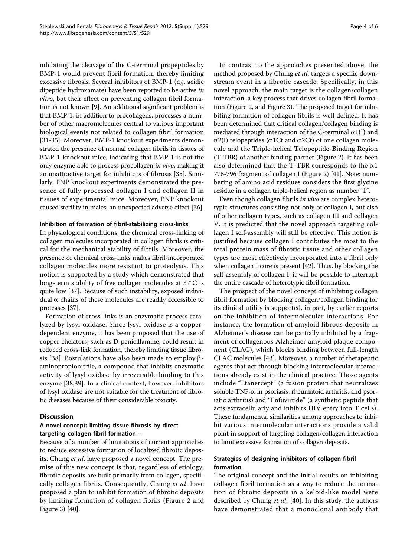inhibiting the cleavage of the C-terminal propeptides by BMP-1 would prevent fibril formation, thereby limiting excessive fibrosis. Several inhibitors of BMP-1 (e.g. acidic dipeptide hydroxamate) have been reported to be active in vitro, but their effect on preventing collagen fibril formation is not known [[9\]](#page-4-0). An additional significant problem is that BMP-1, in addition to procollagens, processes a number of other macromolecules central to various important biological events not related to collagen fibril formation [[31](#page-4-0)[-35\]](#page-5-0). Moreover, BMP-1 knockout experiments demonstrated the presence of normal collagen fibrils in tissues of BMP-1-knockout mice, indicating that BMP-1 is not the only enzyme able to process procollagen in vivo, making it an unattractive target for inhibitors of fibrosis [[35](#page-5-0)]. Similarly, PNP knockout experiments demonstrated the presence of fully processed collagen I and collagen II in tissues of experimental mice. Moreover, PNP knockout caused sterility in males, an unexpected adverse effect [[36](#page-5-0)].

#### Inhibition of formation of fibril-stabilizing cross-links

In physiological conditions, the chemical cross-linking of collagen molecules incorporated in collagen fibrils is critical for the mechanical stability of fibrils. Moreover, the presence of chemical cross-links makes fibril-incorporated collagen molecules more resistant to proteolysis. This notion is supported by a study which demonstrated that long-term stability of free collagen molecules at 37°C is quite low [\[37](#page-5-0)]. Because of such instability, exposed individual  $\alpha$  chains of these molecules are readily accessible to proteases [\[37\]](#page-5-0).

Formation of cross-links is an enzymatic process catalyzed by lysyl-oxidase. Since lysyl oxidase is a copperdependent enzyme, it has been proposed that the use of copper chelators, such as D-penicillamine, could result in reduced cross-link formation, thereby limiting tissue fibro-sis [[38\]](#page-5-0). Postulations have also been made to employ  $\beta$ aminopropionitrile, a compound that inhibits enzymatic activity of lysyl oxidase by irreversible binding to this enzyme [[38,39](#page-5-0)]. In a clinical context, however, inhibitors of lysyl oxidase are not suitable for the treatment of fibrotic diseases because of their considerable toxicity.

## **Discussion**

## A novel concept; limiting tissue fibrosis by direct targeting collagen fibril formation –

Because of a number of limitations of current approaches to reduce excessive formation of localized fibrotic deposits, Chung *et al*. have proposed a novel concept. The premise of this new concept is that, regardless of etiology, fibrotic deposits are built primarily from collagen, specifically collagen fibrils. Consequently, Chung et al. have proposed a plan to inhibit formation of fibrotic deposits by limiting formation of collagen fibrils (Figure [2](#page-1-0) and Figure [3\)](#page-2-0) [[40\]](#page-5-0).

In contrast to the approaches presented above, the method proposed by Chung et al. targets a specific downstream event in a fibrotic cascade. Specifically, in this novel approach, the main target is the collagen/collagen interaction, a key process that drives collagen fibril formation (Figure [2,](#page-1-0) and Figure [3\)](#page-2-0). The proposed target for inhibiting formation of collagen fibrils is well defined. It has been determined that critical collagen/collagen binding is mediated through interaction of the C-terminal  $\alpha$ 1(I) and  $\alpha$ 2(I) telopeptides ( $\alpha$ 1Ct and  $\alpha$ 2Ct) of one collagen molecule and the Triple-helical Telopeptide-Binding Region (T-TBR) of another binding partner (Figure [2\)](#page-1-0). It has been also determined that the T-TBR corresponds to the  $\alpha$ 1 776-796 fragment of collagen I (Figure [2\)](#page-1-0) [[41](#page-5-0)]. Note: numbering of amino acid residues considers the first glycine residue in a collagen triple-helical region as number "1".

Even though collagen fibrils in vivo are complex heterotypic structures consisting not only of collagen I, but also of other collagen types, such as collagen III and collagen V, it is predicted that the novel approach targeting collagen I self-assembly will still be effective. This notion is justified because collagen I contributes the most to the total protein mass of fibrotic tissue and other collagen types are most effectively incorporated into a fibril only when collagen I core is present [\[42\]](#page-5-0). Thus, by blocking the self-assembly of collagen I, it will be possible to interrupt the entire cascade of heterotypic fibril formation.

The prospect of the novel concept of inhibiting collagen fibril formation by blocking collagen/collagen binding for its clinical utility is supported, in part, by earlier reports on the inhibition of intermolecular interactions. For instance, the formation of amyloid fibrous deposits in Alzheimer's disease can be partially inhibited by a fragment of collagenous Alzheimer amyloid plaque component (CLAC), which blocks binding between full-length CLAC molecules [[43\]](#page-5-0). Moreover, a number of therapeutic agents that act through blocking intermolecular interactions already exist in the clinical practice. Those agents include "Etanercept" (a fusion protein that neutralizes soluble TNF- $\alpha$  in psoriasis, rheumatoid arthritis, and psoriatic arthritis) and "Enfuvirtide" (a synthetic peptide that acts extracellularly and inhibits HIV entry into T cells). These fundamental similarities among approaches to inhibit various intermolecular interactions provide a valid point in support of targeting collagen/collagen interaction to limit excessive formation of collagen deposits.

## Strategies of designing inhibitors of collagen fibril formation

The original concept and the initial results on inhibiting collagen fibril formation as a way to reduce the formation of fibrotic deposits in a keloid-like model were described by Chung et al. [[40](#page-5-0)]. In this study, the authors have demonstrated that a monoclonal antibody that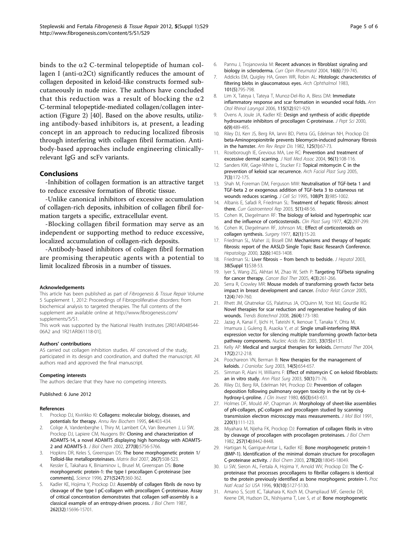<span id="page-4-0"></span>binds to the  $\alpha$ 2 C-terminal telopeptide of human collagen I (anti- $\alpha$ 2Ct) significantly reduces the amount of collagen deposited in keloid-like constructs formed subcutaneously in nude mice. The authors have concluded that this reduction was a result of blocking the  $\alpha$ 2 C-terminal telopeptide-mediated collagen/collagen interaction (Figure [2](#page-1-0)) [[40\]](#page-5-0). Based on the above results, utilizing antibody-based inhibitors is, at present, a leading concept in an approach to reducing localized fibrosis through interfering with collagen fibril formation. Antibody-based approaches include engineering clinicallyrelevant IgG and scFv variants.

#### Conclusions

-Inhibition of collagen formation is an attractive target to reduce excessive formation of fibrotic tissue.

-Unlike canonical inhibitors of excessive accumulation of collagen-rich deposits, inhibition of collagen fibril formation targets a specific, extracellular event.

-Blocking collagen fibril formation may serve as an independent or supporting method to reduce excessive, localized accumulation of collagen-rich deposits.

-Antibody-based inhibitors of collagen fibril formation are promising therapeutic agents with a potential to limit localized fibrosis in a number of tissues.

#### Acknowledgements

This article has been published as part of Fibrogenesis & Tissue Repair Volume 5 Supplement 1, 2012: Proceedings of Fibroproliferative disorders: from biochemical analysis to targeted therapies. The full contents of the supplement are available online at [http://www.fibrogenesis.com/](http://www.fibrogenesis.com/supplements/5/S1) [supplements/5/S1.](http://www.fibrogenesis.com/supplements/5/S1)

This work was supported by the National Health Institutes [2R01AR048544- 06A2 and 1R21AR061118-01].

#### Authors' contributions

AS carried out collagen inhibition studies. AF conceived of the study, participated in its design and coordination, and drafted the manuscript. All authors read and approved the final manuscript.

#### Competing interests

The authors declare that they have no competing interests.

#### Published: 6 June 2012

#### References

- 1. Prockop DJ, Kivirikko KI: Collagens: molecular biology, diseases, and potentials for therapy. Annu Rev Biochem 1995, 64:403-434.
- 2. Colige A, Vandenberghe I, Thiry M, Lambert CA, Van Beeumen J, Li SW, Prockop DJ, Lapiere CM, Nusgens BV: Cloning and characterization of ADAMTS-14, a novel ADAMTS displaying high homology with ADAMTS-2 and ADAMTS-3. J Biol Chem 2002, 277(8):5756-5766.
- 3. Hopkins DR, Keles S, Greenspan DS: The bone morphogenetic protein 1/ Tolloid-like metalloproteinases. Matrix Biol 2007, 26(7):508-523.
- 4. Kessler E, Takahara K, Biniaminov L, Brusel M, Greenspan DS: Bone morphogenetic protein-1: the type I procollagen C-proteinase [see comments]. Science 1996, 271(5247):360-362.
- 5. Kadler KE, Hojima Y, Prockop DJ: Assembly of collagen fibrils de novo by cleavage of the type I pC-collagen with procollagen C-proteinase. Assay of critical concentration demonstrates that collagen self-assembly is a classical example of an entropy-driven process. J Biol Chem 1987, 262(32):15696-15701.
- 6. Pannu J, Trojanowska M: Recent advances in fibroblast signaling and biology in scleroderma. Curr Opin Rheumatol 2004, 16(6):739-745.
- 7. Addicks EM, Quigley HA, Green WR, Robin AL: Histologic characteristics of filtering blebs in glaucomatous eyes. Arch Ophthalmol 1983, 101(5):795-798.
- 8. Lim X, Tateya I, Tateya T, Munoz-Del-Rio A, Bless DM: Immediate inflammatory response and scar formation in wounded vocal folds. Ann Otol Rhinol Laryngol 2006, 115(12):921-929.
- Ovens A, Joule JA, Kadler KE: Design and synthesis of acidic dipeptide hydroxamate inhibitors of procollagen C-proteinase. J Pept Sci 2000, 6(9):489-495.
- 10. Riley DJ, Kerr JS, Berg RA, Ianni BD, Pietra GG, Edelman NH, Prockop DJ: beta-Aminopropionitrile prevents bleomycin-induced pulmonary fibrosis in the hamster. Am Rev Respir Dis 1982, 125(1):67-73.
- 11. Roseborough IE, Grevious MA, Lee RC: Prevention and treatment of excessive dermal scarring. J Natl Med Assoc 2004, 96(1):108-116.
- 12. Sanders KW, Gage-White L, Stucker FJ: Topical mitomycin C in the prevention of keloid scar recurrence. Arch Facial Plast Surg 2005, 7(3):172-175.
- 13. Shah M, Foreman DM, Ferguson MW: Neutralisation of TGF-beta 1 and TGF-beta 2 or exogenous addition of TGF-beta 3 to cutaneous rat wounds reduces scarring. J Cell Sci 1995, 108(Pt 3):985-1002.
- 14. Albanis E, Safadi R, Friedman SL: Treatment of hepatic fibrosis: almost there. Curr Gastroenterol Rep 2003, 5(1):48-56.
- 15. Cohen JK, Diegelmann RF: The biology of keloid and hypertrophic scar and the influence of corticosteroids. Clin Plast Surg 1977, 4(2):297-299.
- 16. Cohen IK, Diegelmann RF, Johnson ML: Effect of corticosteroids on collagen synthesis. Surgery 1977, 82(1):15-20.
- 17. Friedman SL, Maher JJ, Bissell DM: Mechanisms and therapy of hepatic fibrosis: report of the AASLD Single Topic Basic Research Conference. Hepatology 2000, 32(6):1403-1408.
- 18. Friedman SL: Liver fibrosis from bench to bedside. J Hepatol 2003, 38(Suppl 1):S38-53.
- 19. Iyer S, Wang ZG, Akhtari M, Zhao W, Seth P: Targeting TGFbeta signaling for cancer therapy. Cancer Biol Ther 2005, 4(3):261-266.
- 20. Serra R, Crowley MR: Mouse models of transforming growth factor beta impact in breast development and cancer. Endocr Relat Cancer 2005, 12(4):749-760.
- 21. Rhett JM, Ghatnekar GS, Palatinus JA, O'Quinn M, Yost MJ, Gourdie RG: Novel therapies for scar reduction and regenerative healing of skin wounds. Trends Biotechnol 2008, 26(4):173-180.
- 22. Jazag A, Kanai F, Ijichi H, Tateishi K, Ikenoue T, Tanaka Y, Ohta M, Imamura J, Guleng B, Asaoka Y, et al: Single small-interfering RNA expression vector for silencing multiple transforming growth factor-beta pathway components. Nucleic Acids Res 2005, 33(15):e131.
- 23. Kelly AP: Medical and surgical therapies for keloids. Dermatol Ther 2004, 17(2):212-218.
- 24. Poochareon VN, Berman B: New therapies for the management of keloids. J Craniofac Surg 2003, 14(5):654-657.
- 25. Simman R, Alani H, Williams F: Effect of mitomycin C on keloid fibroblasts: an in vitro study. Ann Plast Surg 2003, 50(1):71-76.
- 26. Riley DJ, Berg RA, Edelman NH, Prockop DJ: Prevention of collagen deposition following pulmonary oxygen toxicity in the rat by cis-4 hydroxy-L-proline. J Clin Invest 1980, 65(3):643-651.
- 27. Holmes DF, Mould AP, Chapman JA: Morphology of sheet-like assemblies of pN-collagen, pC-collagen and procollagen studied by scanning transmission electron microscopy mass measurements. J Mol Biol 1991, 220(1):111-123.
- 28. Miyahara M, Njieha FK, Prockop DJ: Formation of collagen fibrils in vitro by cleavage of procollagen with procollagen proteinases. J Biol Chem 1982, 257(14):8442-8448.
- 29. Hartigan N, Garrigue-Antar L, Kadler KE: Bone morphogenetic protein-1 (BMP-1). Identification of the minimal domain structure for procollagen C-proteinase activity. J Biol Chem 2003, 278(20):18045-18049.
- 30. Li SW, Sieron AL, Fertala A, Hojima Y, Arnold WV, Prockop DJ: The Cproteinase that processes procollagens to fibrillar collagens is identical to the protein previously identified as bone morphogenic protein-1. Proc Natl Acad Sci USA 1996, 93(10):5127-5130.
- 31. Amano S, Scott IC, Takahara K, Koch M, Champliaud MF, Gerecke DR, Keene DR, Hudson DL, Nishiyama T, Lee S, et al: Bone morphogenetic